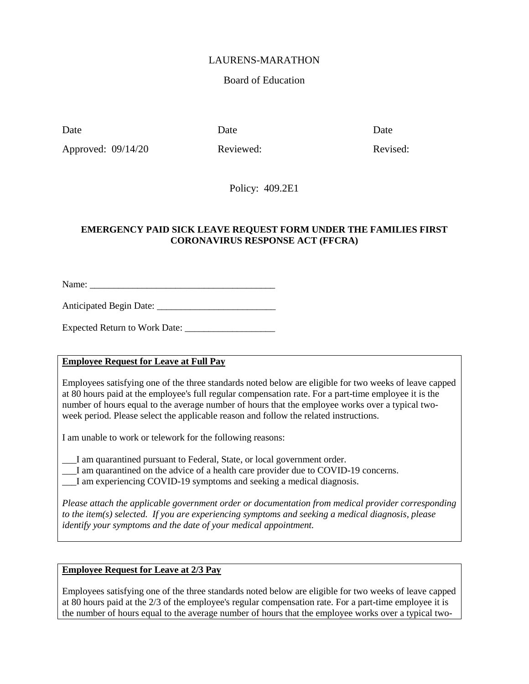# LAURENS-MARATHON

### Board of Education

Date Date Date Date

Approved: 09/14/20 Reviewed: Revised: Revised:

Policy: 409.2E1

### **EMERGENCY PAID SICK LEAVE REQUEST FORM UNDER THE FAMILIES FIRST CORONAVIRUS RESPONSE ACT (FFCRA)**

Name: \_\_\_\_\_\_\_\_\_\_\_\_\_\_\_\_\_\_\_\_\_\_\_\_\_\_\_\_\_\_\_\_\_\_\_\_\_\_\_

Anticipated Begin Date: \_\_\_\_\_\_\_\_\_\_\_\_\_\_\_\_\_\_\_\_\_\_\_\_\_

Expected Return to Work Date: \_\_\_\_\_\_\_\_\_\_\_\_\_\_\_\_\_\_\_

# **Employee Request for Leave at Full Pay**

Employees satisfying one of the three standards noted below are eligible for two weeks of leave capped at 80 hours paid at the employee's full regular compensation rate. For a part-time employee it is the number of hours equal to the average number of hours that the employee works over a typical twoweek period. Please select the applicable reason and follow the related instructions.

I am unable to work or telework for the following reasons:

\_\_\_I am quarantined pursuant to Federal, State, or local government order.

\_\_\_I am quarantined on the advice of a health care provider due to COVID-19 concerns.

I am experiencing COVID-19 symptoms and seeking a medical diagnosis.

*Please attach the applicable government order or documentation from medical provider corresponding to the item(s) selected. If you are experiencing symptoms and seeking a medical diagnosis, please identify your symptoms and the date of your medical appointment.*

# **Employee Request for Leave at 2/3 Pay**

Employees satisfying one of the three standards noted below are eligible for two weeks of leave capped at 80 hours paid at the 2/3 of the employee's regular compensation rate. For a part-time employee it is the number of hours equal to the average number of hours that the employee works over a typical two